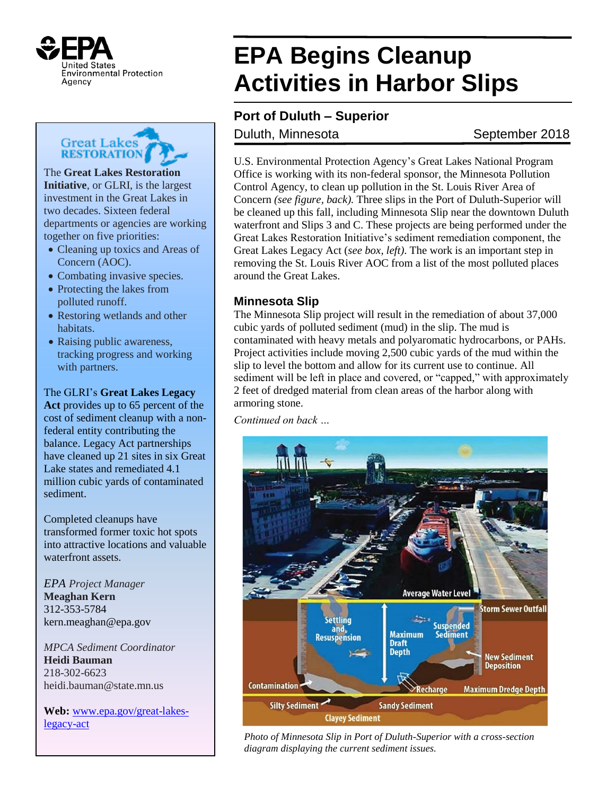



The **Great Lakes Restoration Initiative**, or GLRI, is the largest investment in the Great Lakes in two decades. Sixteen federal departments or agencies are working together on five priorities:

- Cleaning up toxics and Areas of Concern (AOC).
- Combating invasive species.
- Protecting the lakes from polluted runoff.
- Restoring wetlands and other habitats.
- Raising public awareness, tracking progress and working with partners.

The GLRI's **Great Lakes Legacy** 

**Act** provides up to 65 percent of the cost of sediment cleanup with a nonfederal entity contributing the balance. Legacy Act partnerships have cleaned up 21 sites in six Great Lake states and remediated 4.1 million cubic yards of contaminated sediment.

Completed cleanups have transformed former toxic hot spots into attractive locations and valuable waterfront assets

*EPA Project Manager* **Meaghan Kern** 312-353-5784 kern.meaghan@epa.gov

*MPCA Sediment Coordinator* **Heidi Bauman** 218-302-6623 heidi.bauman@state.mn.us

**Web:** [www.epa.gov/great-lakes](http://www.epa.gov/great-lakes-legacy-act)[legacy-act](http://www.epa.gov/great-lakes-legacy-act)

# **EPA Begins Cleanup Activities in Harbor Slips**

## **Port of Duluth – Superior**

### Duluth, Minnesota September 2018

U.S. Environmental Protection Agency's Great Lakes National Program Office is working with its non-federal sponsor, the Minnesota Pollution Control Agency, to clean up pollution in the St. Louis River Area of Concern *(see figure, back).* Three slips in the Port of Duluth-Superior will be cleaned up this fall, including Minnesota Slip near the downtown Duluth waterfront and Slips 3 and C. These projects are being performed under the Great Lakes Restoration Initiative's sediment remediation component, the Great Lakes Legacy Act (*see box, left)*. The work is an important step in removing the St. Louis River AOC from a list of the most polluted places around the Great Lakes.

### **Minnesota Slip**

The Minnesota Slip project will result in the remediation of about 37,000 cubic yards of polluted sediment (mud) in the slip. The mud is contaminated with heavy metals and polyaromatic hydrocarbons, or PAHs. Project activities include moving 2,500 cubic yards of the mud within the slip to level the bottom and allow for its current use to continue. All sediment will be left in place and covered, or "capped," with approximately 2 feet of dredged material from clean areas of the harbor along with armoring stone.

*Continued on back …*



*Photo of Minnesota Slip in Port of Duluth-Superior with a cross-section diagram displaying the current sediment issues.*